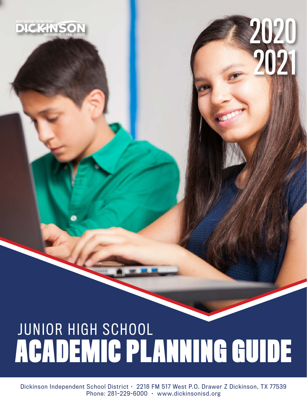# **ACADEMIC PLANNING GUIDE** JUNIOR HIGH SCHOOL

2020

2021

Dickinson Independent School District • 2218 FM 517 West P.O. Drawer Z Dickinson, TX 77539 Phone: 281-229-6000 · www.dickinsonisd.org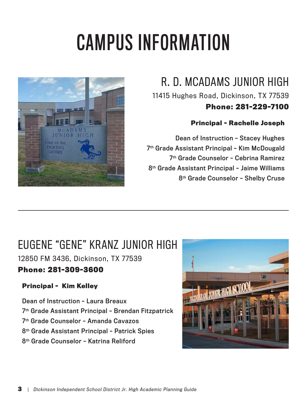# CAMPUS INFORMATION



# R. D. MCADAMS JUNIOR HIGH

11415 Hughes Road, Dickinson, TX 77539

## **Phone: 281-229-7100**

### **Principal - Rachelle Joseph**

Dean of Instruction – Stacey Hughes 7th Grade Assistant Principal – Kim McDougald 7th Grade Counselor – Cebrina Ramirez 8th Grade Assistant Principal – Jaime Williams 8th Grade Counselor – Shelby Cruse

# EUGENE "GENE" KRANZ JUNIOR HIGH

12850 FM 3436, Dickinson, TX 77539

## **Phone: 281-309-3600**

## **Principal - Kim Kelley**

Dean of Instruction – Laura Breaux 7<sup>th</sup> Grade Assistant Principal - Brendan Fitzpatrick 7th Grade Counselor – Amanda Cavazos 8th Grade Assistant Principal – Patrick Spies 8th Grade Counselor – Katrina Reliford

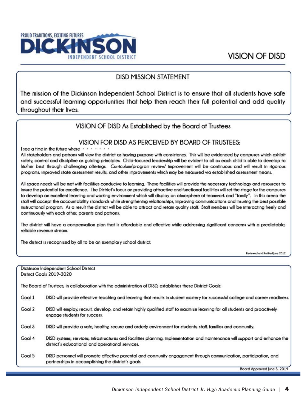

#### **DISD MISSION STATEMENT**

The mission of the Dickinson Independent School District is to ensure that all students have safe and successful learning opportunities that help them reach their full potential and add quality throughout their lives.

#### VISION OF DISD As Established by the Board of Trustees

#### VISION FOR DISD AS PERCEIVED BY BOARD OF TRUSTEES:

I see a time in the future where .

All stakeholders and patrons will view the district as having purpose with consistency. This will be evidenced by campuses which exhibit safety, control and discipline as guiding principles. Child-focused leadership will be evident to all as each child is able to develop to his/her best through challenging offerings. Curriculum/program review/ improvement will be continuous and will result in rigorous programs, improved state assessment results, and other improvements which may be measured via established assessment means.

All space needs will be met with facilities conducive to learning. These facilities will provide the necessary technology and resources to insure the potential for excellence. The District's focus on providing attractive and functional facilities will set the stage for the campuses to develop an excellent learning and working environment which will display an atmosphere of teamwork and "family". In this arena the staff will accept the accountability standards while strengthening relationships, improving communications and insuring the best possible instructional program. As a result the district will be able to attract and retain quality staff. Staff members will be interacting freely and continuously with each other, parents and patrons.

The district will have a compensation plan that is affordable and effective while addressing significant concerns with a predictable, reliable revenue stream.

The district is recognized by all to be an exemplary school district.

Reviewed and Ratified June 2012

|               | Dickinson Independent School District<br>District Goals 2019-2020                                                                                                                |
|---------------|----------------------------------------------------------------------------------------------------------------------------------------------------------------------------------|
|               |                                                                                                                                                                                  |
|               | The Board of Trustees, in collaboration with the administration of DISD, establishes these District Goals:                                                                       |
| <b>Goal 1</b> | DISD will provide effective teaching and learning that results in student mastery for successful college and career readiness.                                                   |
| Goal 2        | DISD will employ, recruit, develop, and retain highly qualified staff to maximize learning for all students and proactively<br>engage students for success.                      |
| Coal 3        | DISD will provide a safe, healthy, secure and orderly environment for students, staff, families and community.                                                                   |
| Coal 4        | DISD systems, services, infrastructures and facilities planning, implementation and maintenance will support and enhance the<br>district's educational and operational services. |
| Coal 5        | DISD personnel will promote effective parental and community engagement through communication, participation, and<br>partnerships in accomplishing the district's goals.         |
|               | Board Approved lune 3, 2019                                                                                                                                                      |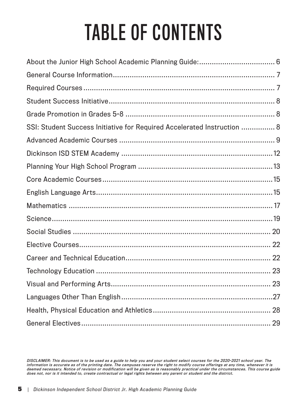# TABLE OF CONTENTS

| SSI: Student Success Initiative for Required Accelerated Instruction  8 |
|-------------------------------------------------------------------------|
|                                                                         |
|                                                                         |
|                                                                         |
|                                                                         |
|                                                                         |
|                                                                         |
|                                                                         |
|                                                                         |
|                                                                         |
|                                                                         |
|                                                                         |
|                                                                         |
|                                                                         |
|                                                                         |
|                                                                         |

DISCLAIMER: This document is to be used as a guide to help you and your student select courses for the 2020-2021 school year. The information is accurate as of the printing date. The campuses reserve the right to modify course offerings at any time, whenever it is deemed necessary. Notice of revision or modification will be given as is reasonably practical under the circumstances. This course guide does not, nor is it intended to, create contractual or legal rights between any parent or student and the district.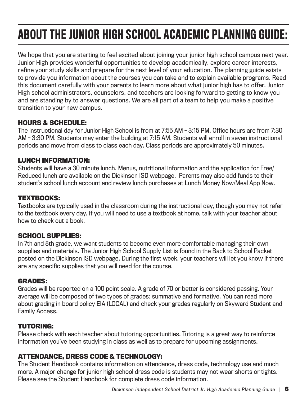# ABOUT THE JUNIOR HIGH SCHOOL ACADEMIC PLANNING GUIDE:

We hope that you are starting to feel excited about joining your junior high school campus next year. Junior High provides wonderful opportunities to develop academically, explore career interests, refine your study skills and prepare for the next level of your education. The planning guide exists to provide you information about the courses you can take and to explain available programs. Read this document carefully with your parents to learn more about what junior high has to offer. Junior High school administrators, counselors, and teachers are looking forward to getting to know you and are standing by to answer questions. We are all part of a team to help you make a positive transition to your new campus.

#### **HOURS & SCHEDULE:**

The instructional day for Junior High School is from at 7:55 AM - 3:15 PM. Office hours are from 7:30 AM - 3:30 PM. Students may enter the building at 7:15 AM. Students will enroll in seven instructional periods and move from class to class each day. Class periods are approximately 50 minutes.

#### **LUNCH INFORMATION:**

Students will have a 30 minute lunch. Menus, nutritional information and the application for Free/ Reduced lunch are available on the Dickinson ISD webpage. Parents may also add funds to their student's school lunch account and review lunch purchases at Lunch Money Now/Meal App Now.

#### **TEXTBOOKS:**

Textbooks are typically used in the classroom during the instructional day, though you may not refer to the textbook every day. If you will need to use a textbook at home, talk with your teacher about how to check out a book.

#### **SCHOOL SUPPLIES:**

In 7th and 8th grade, we want students to become even more comfortable managing their own supplies and materials. The Junior High School Supply List is found in the Back to School Packet posted on the Dickinson ISD webpage. During the first week, your teachers will let you know if there are any specific supplies that you will need for the course.

#### **GRADES:**

Grades will be reported on a 100 point scale. A grade of 70 or better is considered passing. Your average will be composed of two types of grades: summative and formative. You can read more about grading in board policy EIA (LOCAL) and check your grades regularly on Skyward Student and Family Access.

#### **TUTORING:**

Please check with each teacher about tutoring opportunities. Tutoring is a great way to reinforce information you've been studying in class as well as to prepare for upcoming assignments.

#### **ATTENDANCE, DRESS CODE & TECHNOLOGY:**

The Student Handbook contains information on attendance, dress code, technology use and much more. A major change for junior high school dress code is students may not wear shorts or tights. Please see the Student Handbook for complete dress code information.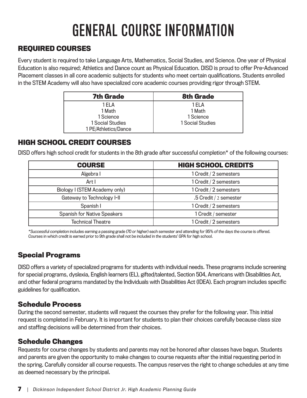# GENERAL COURSE INFORMATION

## **REQUIRED COURSES**

Every student is required to take Language Arts, Mathematics, Social Studies, and Science. One year of Physical Education is also required; Athletics and Dance count as Physical Education. DISD is proud to offer Pre-Advanced Placement classes in all core academic subjects for students who meet certain qualifications. Students enrolled in the STEM Academy will also have specialized core academic courses providing rigor through STEM.

| <b>7th Grade</b>                                                          | <b>8th Grade</b>                                  |
|---------------------------------------------------------------------------|---------------------------------------------------|
| 1 FI A<br>1 Math<br>1 Science<br>1 Social Studies<br>1 PE/Athletics/Dance | 1 FI A<br>1 Math<br>1 Science<br>1 Social Studies |

### **HIGH SCHOOL CREDIT COURSES**

DISD offers high school credit for students in the 8th grade after successful completion\* of the following courses:

| <b>COURSE</b>                      | <b>HIGH SCHOOL CREDITS</b> |
|------------------------------------|----------------------------|
| Algebra I                          | 1 Credit / 2 semesters     |
| Art I                              | 1 Credit / 2 semesters     |
| Biology I (STEM Academy only)      | 1 Credit / 2 semesters     |
| Gateway to Technology I-II         | .5 Credit / 2 semester     |
| Spanish I                          | 1 Credit / 2 semesters     |
| <b>Spanish for Native Speakers</b> | 1 Credit / semester        |
| <b>Technical Theatre</b>           | 1 Credit / 2 semesters     |

\*Successful completion includes earning a passing grade (70 or higher) each semester and attending for 95% of the days the course is offered. Courses in which credit is earned prior to 9th grade shall not be included in the students' GPA for high school.

## **Special Programs**

DISD offers a variety of specialized programs for students with individual needs. These programs include screening for special programs, dyslexia, English learners (EL), gifted/talented, Section 504, Americans with Disabilities Act, and other federal programs mandated by the Individuals with Disabilities Act (IDEA). Each program includes specific guidelines for qualification.

### **Schedule Process**

During the second semester, students will request the courses they prefer for the following year. This initial request is completed in February. It is important for students to plan their choices carefully because class size and staffing decisions will be determined from their choices.

### **Schedule Changes**

Requests for course changes by students and parents may not be honored after classes have begun. Students and parents are given the opportunity to make changes to course requests after the initial requesting period in the spring. Carefully consider all course requests. The campus reserves the right to change schedules at any time as deemed necessary by the principal.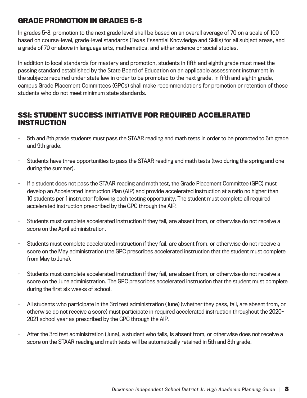### **GRADE PROMOTION IN GRADES 5-8**

In grades 5-8, promotion to the next grade level shall be based on an overall average of 70 on a scale of 100 based on course-level, grade-level standards (Texas Essential Knowledge and Skills) for all subject areas, and a grade of 70 or above in language arts, mathematics, and either science or social studies.

In addition to local standards for mastery and promotion, students in fifth and eighth grade must meet the passing standard established by the State Board of Education on an applicable assessment instrument in the subjects required under state law in order to be promoted to the next grade. In fifth and eighth grade, campus Grade Placement Committees (GPCs) shall make recommendations for promotion or retention of those students who do not meet minimum state standards.

#### **SSI: STUDENT SUCCESS INITIATIVE FOR REQUIRED ACCELERATED INSTRUCTION**

- 5th and 8th grade students must pass the STAAR reading and math tests in order to be promoted to 6th grade and 9th grade.
- Students have three opportunities to pass the STAAR reading and math tests (two during the spring and one during the summer).
- If a student does not pass the STAAR reading and math test, the Grade Placement Committee (GPC) must develop an Accelerated Instruction Plan (AIP) and provide accelerated instruction at a ratio no higher than 10 students per 1 instructor following each testing opportunity. The student must complete all required accelerated instruction prescribed by the GPC through the AIP.
- Students must complete accelerated instruction if they fail, are absent from, or otherwise do not receive a score on the April administration.
- Students must complete accelerated instruction if they fail, are absent from, or otherwise do not receive a score on the May administration (the GPC prescribes accelerated instruction that the student must complete from May to June).
- Students must complete accelerated instruction if they fail, are absent from, or otherwise do not receive a score on the June administration. The GPC prescribes accelerated instruction that the student must complete during the first six weeks of school.
- All students who participate in the 3rd test administration (June) (whether they pass, fail, are absent from, or otherwise do not receive a score) must participate in required accelerated instruction throughout the 2020- 2021 school year as prescribed by the GPC through the AIP.
- After the 3rd test administration (June), a student who fails, is absent from, or otherwise does not receive a score on the STAAR reading and math tests will be automatically retained in 5th and 8th grade.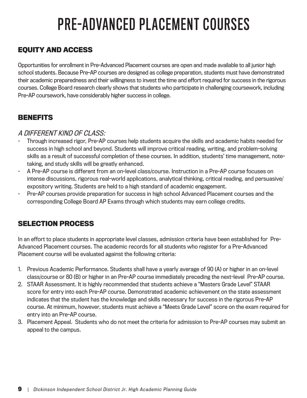# PRE-ADVANCED PLACEMENT COURSES

## **EQUITY AND ACCESS**

Opportunities for enrollment in Pre-Advanced Placement courses are open and made available to all junior high school students. Because Pre-AP courses are designed as college preparation, students must have demonstrated their academic preparedness and their willingness to invest the time and effort required for success in the rigorous courses. College Board research clearly shows that students who participate in challenging coursework, including Pre-AP coursework, have considerably higher success in college.

### **BENEFITS**

#### A DIFFERENT KIND OF CLASS:

- Through increased rigor, Pre-AP courses help students acquire the skills and academic habits needed for success in high school and beyond. Students will improve critical reading, writing, and problem-solving skills as a result of successful completion of these courses. In addition, students' time management, notetaking, and study skills will be greatly enhanced.
- A Pre-AP course is different from an on-level class/course. Instruction in a Pre-AP course focuses on intense discussions, rigorous real-world applications, analytical thinking, critical reading, and persuasive/ expository writing. Students are held to a high standard of academic engagement.
- Pre-AP courses provide preparation for success in high school Advanced Placement courses and the corresponding College Board AP Exams through which students may earn college credits.

### **SELECTION PROCESS**

In an effort to place students in appropriate level classes, admission criteria have been established for Pre-Advanced Placement courses. The academic records for all students who register for a Pre-Advanced Placement course will be evaluated against the following criteria:

- 1. Previous Academic Performance. Students shall have a yearly average of 90 (A) or higher in an on-level class/course or 80 (B) or higher in an Pre-AP course immediately preceding the next-level Pre-AP course.
- 2. STAAR Assessment. It is highly recommended that students achieve a "Masters Grade Level" STAAR score for entry into each Pre-AP course. Demonstrated academic achievement on the state assessment indicates that the student has the knowledge and skills necessary for success in the rigorous Pre-AP course. At minimum, however, students must achieve a "Meets Grade Level" score on the exam required for entry into an Pre-AP course.
- 3. Placement Appeal. Students who do not meet the criteria for admission to Pre-AP courses may submit an appeal to the campus.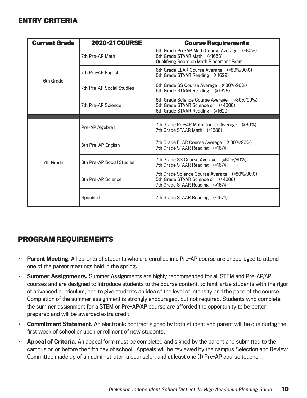#### **ENTRY CRITERIA**

| <b>Current Grade</b> | <b>2020-21 COURSE</b>     | <b>Course Requirements</b>                                                                                                 |  |
|----------------------|---------------------------|----------------------------------------------------------------------------------------------------------------------------|--|
|                      | 7th Pre-AP Math           | 6th Grade Pre-AP Math Course Average (≥80%)<br>6th Grade STAAR Math (≥1653)<br>Qualifying Score on Math Placement Exam     |  |
|                      | 7th Pre-AP English        | 6th Grade ELAR Course Average (≥80%/90%)<br>6th Grade STAAR Reading (≥1629)                                                |  |
| 6th Grade            | 7th Pre-AP Social Studies | 6th Grade SS Course Average (≥80%/90%)<br>6th Grade STAAR Reading $( \ge 1629)$                                            |  |
|                      | 7th Pre-AP Science        | 6th Grade Science Course Average (≥80%/90%)<br>5th Grade STAAR Science or (≥4000)<br>6th Grade STAAR Reading $( \ge 1629)$ |  |
|                      |                           |                                                                                                                            |  |
|                      | Pre-AP Algebra I          | 7th Grade Pre-AP Math Course Average (≥80%)<br>7th Grade STAAR Math (≥1688)                                                |  |
|                      | 8th Pre-AP English        | 7th Grade ELAR Course Average (≥80%/90%)<br>7th Grade STAAR Reading (≥1674)                                                |  |
| 7th Grade            | 8th Pre-AP Social Studies | 7th Grade SS Course Average (≥80%/90%)<br>7th Grade STAAR Reading (≥1674)                                                  |  |
|                      | 8th Pre-AP Science        | 7th Grade Science Course Average (≥80%/90%)<br>5th Grade STAAR Science or (≥4000)<br>7th Grade STAAR Reading (≥1674)       |  |
|                      | Spanish I                 | 7th Grade STAAR Reading (≥1674)                                                                                            |  |

### **PROGRAM REQUIREMENTS**

- Parent Meeting. All parents of students who are enrolled in a Pre-AP course are encouraged to attend one of the parent meetings held in the spring.
- Summer Assignments. Summer Assignments are highly recommended for all STEM and Pre-AP/AP courses and are designed to introduce students to the course content, to familiarize students with the rigor of advanced curriculum, and to give students an idea of the level of intensity and the pace of the course. Completion of the summer assignment is strongly encouraged, but not required. Students who complete the summer assignment for a STEM or Pre-AP/AP course are afforded the opportunity to be better prepared and will be awarded extra credit.
- Commitment Statement. An electronic contract signed by both student and parent will be due during the first week of school or upon enrollment of new students.
- Appeal of Criteria. An appeal form must be completed and signed by the parent and submitted to the campus on or before the fifth day of school. Appeals will be reviewed by the campus Selection and Review Committee made up of an administrator, a counselor, and at least one (1) Pre-AP course teacher.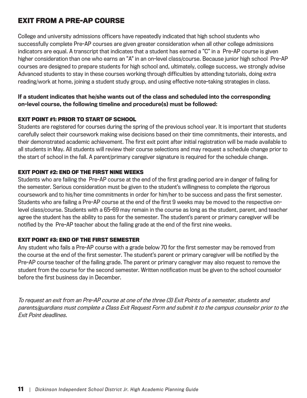### **EXIT FROM A PRE-AP COURSE**

College and university admissions officers have repeatedly indicated that high school students who successfully complete Pre-AP courses are given greater consideration when all other college admissions indicators are equal. A transcript that indicates that a student has earned a "C" in a Pre-AP course is given higher consideration than one who earns an "A" in an on-level class/course. Because junior high school Pre-AP courses are designed to prepare students for high school and, ultimately, college success, we strongly advise Advanced students to stay in these courses working through difficulties by attending tutorials, doing extra reading/work at home, joining a student study group, and using effective note-taking strategies in class.

#### If a student indicates that he/she wants out of the class and scheduled into the corresponding on-level course, the following timeline and procedure(s) must be followed:

#### **EXIT POINT #1: PRIOR TO START OF SCHOOL**

Students are registered for courses during the spring of the previous school year. It is important that students carefully select their coursework making wise decisions based on their time commitments, their interests, and their demonstrated academic achievement. The first exit point after initial registration will be made available to all students in May. All students will review their course selections and may request a schedule change prior to the start of school in the fall. A parent/primary caregiver signature is required for the schedule change.

#### **EXIT POINT #2: END OF THE FIRST NINE WEEKS**

Students who are failing the Pre-AP course at the end of the first grading period are in danger of failing for the semester. Serious consideration must be given to the student's willingness to complete the rigorous coursework and to his/her time commitments in order for him/her to be success and pass the first semester. Students who are failing a Pre-AP course at the end of the first 9 weeks may be moved to the respective onlevel class/course. Students with a 65-69 may remain in the course as long as the student, parent, and teacher agree the student has the ability to pass for the semester. The student's parent or primary caregiver will be notified by the Pre-AP teacher about the failing grade at the end of the first nine weeks.

#### **EXIT POINT #3: END OF THE FIRST SEMESTER**

Any student who fails a Pre-AP course with a grade below 70 for the first semester may be removed from the course at the end of the first semester. The student's parent or primary caregiver will be notified by the Pre-AP course teacher of the failing grade. The parent or primary caregiver may also request to remove the student from the course for the second semester. Written notification must be given to the school counselor before the first business day in December.

To request an exit from an Pre-AP course at one of the three (3) Exit Points of a semester, students and parents/guardians must complete a Class Exit Request Form and submit it to the campus counselor prior to the Exit Point deadlines.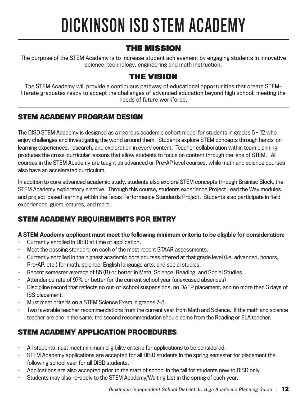# DICKINSON ISD STEM ACADEMY

## THE MISSION

The purpose of the STEM Academy is to increase student achievement by engaging students in innovative science, technology, engineering and math instruction.

## THE VISION

The STEM Academy will provide a continuous pathway of educational opportunities that create STEMliterate graduates ready to accept the challenges of advanced education beyond high school, meeting the needs of future workforce.

## **STEM ACADEMY PROGRAM DESIGN**

The DISD STEM Academy is designed as a rigorous academic cohort model for students in grades 5 – 12 who enjoy challenges and investigating the world around them. Students explore STEM concepts through hands-on learning experiences, research, and exploration in every content. Teacher collaboration within team planning produces the cross-curricular lessons that allow students to focus on content through the lens of STEM. All courses in the STEM Academy are taught as advanced or Pre-AP level courses, while math and science courses also have an accelerated curriculum.

In addition to core advanced academic study, students also explore STEM concepts through Brainiac Block, the STEM Academy exploratory elective. Through this course, students experience Project Lead the Way modules and project-based learning within the Texas Performance Standards Project. Students also participate in field experiences, guest lectures, and more.

## **STEM ACADEMY REQUIREMENTS FOR ENTRY**

#### A STEM Academy applicant must meet the following minimum criteria to be eligible for consideration:

- Currently enrolled in DISD at time of application.
- Meet the passing standard on each of the most recent STAAR assessments.
- Currently enrolled in the highest academic core courses offered at that grade level (i.e. advanced, honors, Pre-AP, etc.) for math, science, English language arts, and social studies.
- Recent semester average of 85 (B) or better in Math, Science, Reading, and Social Studies
- Attendance rate of 97% or better for the current school year (unexcused absences)
- Discipline record that reflects no out-of-school suspensions, no DAEP placement, and no more than 3 days of ISS placement.
- Must meet criteria on a STEM Science Exam in grades 7-8.
- Two favorable teacher recommendations from the current year from Math and Science. If the math and science teacher are one in the same, the second recommendation should come from the Reading or ELA teacher.

## **STEM ACADEMY APPLICATION PROCEDURES**

- All students must meet minimum eligibility criteria for applications to be considered.
- STEM Academy applications are accepted for all DISD students in the spring semester for placement the following school year for all DISD students.
- Applications are also accepted prior to the start of school in the fall for students new to DISD only.
- Students may also re-apply to the STEM Academy/Waiting List in the spring of each year.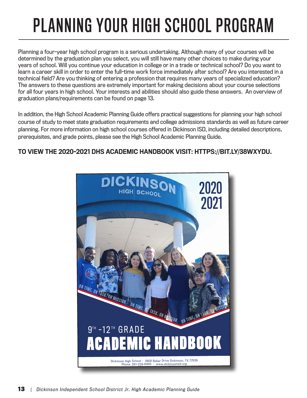# PLANNING YOUR HIGH SCHOOL PROGRAM

Planning a four-year high school program is a serious undertaking. Although many of your courses will be determined by the graduation plan you select, you will still have many other choices to make during your years of school. Will you continue your education in college or in a trade or technical school? Do you want to learn a career skill in order to enter the full-time work force immediately after school? Are you interested in a technical field? Are you thinking of entering a profession that requires many years of specialized education? The answers to these questions are extremely important for making decisions about your course selections for all four years in high school. Your interests and abilities should also guide these answers. An overview of graduation plans/requirements can be found on page 13.

In addition, the High School Academic Planning Guide offers practical suggestions for planning your high school course of study to meet state graduation requirements and college admissions standards as well as future career planning. For more information on high school courses offered in Dickinson ISD, including detailed descriptions, prerequisites, and grade points, please see the High School Academic Planning Guide.

#### TO VIEW THE 2020-2021 DHS ACADEMIC HANDBOOK VISIT: HTTPS://BIT.LY/38WXYDU.

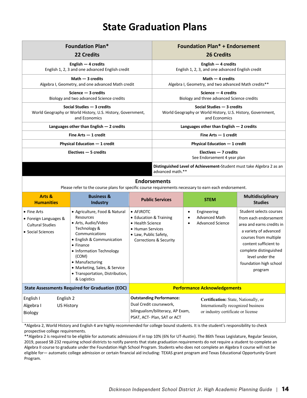# **State Graduation Plans**

| <b>Foundation Plan*</b><br>22 Credits                                        | <b>Foundation Plan* + Endorsement</b><br><b>26 Credits</b>                               |  |  |
|------------------------------------------------------------------------------|------------------------------------------------------------------------------------------|--|--|
|                                                                              |                                                                                          |  |  |
| English $-4$ credits<br>English 1, 2, 3 and one advanced English credit      | English $-4$ credits<br>English 1, 2, 3, and one advanced English credit                 |  |  |
| Math $-$ 3 credits                                                           | Math $-$ 4 credits                                                                       |  |  |
| Algebra I, Geometry, and one advanced Math credit                            | Algebra I, Geometry, and two advanced Math credits**                                     |  |  |
| Science $-3$ credits                                                         | Science $-4$ credits                                                                     |  |  |
| Biology and two advanced Science credits                                     | Biology and three advanced Science credits                                               |  |  |
| Social Studies - 3 credits                                                   | Social Studies - 3 credits                                                               |  |  |
| World Geography or World History, U.S. History, Government,<br>and Economics | World Geography or World History, U.S. History, Government,<br>and Economics             |  |  |
| Languages other than English $-2$ credits                                    | Languages other than English $-2$ credits                                                |  |  |
| Fine Arts $-1$ credit                                                        | Fine Arts $-1$ credit                                                                    |  |  |
| Physical Education $-1$ credit                                               | Physical Education - 1 credit                                                            |  |  |
| $Electives - 5 credits$                                                      | $Electives - 7 credits$                                                                  |  |  |
|                                                                              | See Endorsement 4 year plan                                                              |  |  |
|                                                                              | Distinguished Level of Achievement-Student must take Algebra 2 as an<br>advanced math.** |  |  |

#### **Endorsements**

Please refer to the course plans for specific course requirements necessary to earn each endorsement.

| Arts &<br><b>Humanities</b>                                                          | <b>Business &amp;</b><br>Industry                                                                                                                                                                                                                                                                | <b>Public Services</b>                                                                                                                            | <b>STEM</b>                                                                                                       | Multidisciplinary<br><b>Studies</b>                                                                                                                                                                                                        |
|--------------------------------------------------------------------------------------|--------------------------------------------------------------------------------------------------------------------------------------------------------------------------------------------------------------------------------------------------------------------------------------------------|---------------------------------------------------------------------------------------------------------------------------------------------------|-------------------------------------------------------------------------------------------------------------------|--------------------------------------------------------------------------------------------------------------------------------------------------------------------------------------------------------------------------------------------|
| • Fine Arts<br>• Foreign Languages &<br><b>Cultural Studies</b><br>• Social Sciences | • Agriculture, Food & Natural<br>Resources<br>• Arts, Audio/Video<br>Technology &<br>Communications<br>• English & Communication<br>$\bullet$ Finance<br>• Information Technology<br>(COM)<br>• Manufacturing<br>• Marketing, Sales, & Service<br>• Transportation, Distribution,<br>& Logistics | $\bullet$ AFJROTC<br>• Education & Training<br>• Health Science<br>• Human Services<br>• Law, Public Safety,<br><b>Corrections &amp; Security</b> | Engineering<br>$\bullet$<br><b>Advanced Math</b><br>$\bullet$<br>Advanced Science                                 | Student selects courses<br>from each endorsement<br>area and earns credits in<br>a variety of advanced<br>courses from multiple<br>content sufficient to<br>complete distinguished<br>level under the<br>foundation high school<br>program |
| <b>State Assessments Required for Graduation (EOC)</b>                               |                                                                                                                                                                                                                                                                                                  | <b>Performance Acknowledgements</b>                                                                                                               |                                                                                                                   |                                                                                                                                                                                                                                            |
| English I<br>English 2<br>Algebra I<br>US History<br><b>Biology</b>                  |                                                                                                                                                                                                                                                                                                  | <b>Outstanding Performance:</b><br>Dual Credit coursework,<br>bilingualism/biliteracy, AP Exam,<br>PSAT, ACT- Plan, SAT or ACT                    | Certification: State, Nationally, or<br>Internationally recognized business<br>or industry certificate or license |                                                                                                                                                                                                                                            |

\*Algebra 2, World History and English 4 are highly recommended for college bound students. It is the student's responsibility to check prospective college requirements.

\*\*Algebra 2 is required to be eligible for automatic admissions if in top 10% (6% for UT-Austin). The 86th Texas Legislature, Regular Session, 2019, passed SB 232 requiring school districts to notify parents that state graduation requirements do not require a student to complete an Algebra II course to graduate under the Foundation High School Program. Students who does not complete an Algebra II course will not be eligible for— automatic college admission or certain financial aid including: TEXAS grant program and Texas Educational Opportunity Grant Program.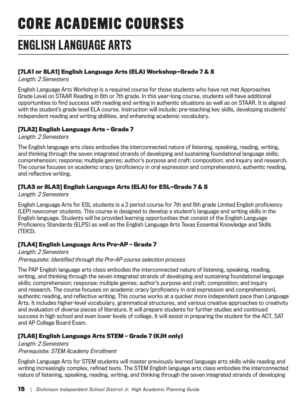# **CORE ACADEMIC COURSES**

# ENGLISH LANGUAGE ARTS

#### **[7LA1 or 8LA1] English Language Arts (ELA) Workshop—Grade 7 & 8**

Length: 2 Semesters

English Language Arts Workshop is a required course for those students who have not met Approaches Grade Level on STAAR Reading in 6th or 7th grade. In this year-long course, students will have additional opportunities to find success with reading and writing in authentic situations as well as on STAAR. It is aligned with the student's grade level ELA course. Instruction will include: pre-teaching key skills, developing students' independent reading and writing abilities, and enhancing academic vocabulary.

#### **[7LA2] English Language Arts – Grade 7**

Length: 2 Semesters

The English language arts class embodies the interconnected nature of listening, speaking, reading, writing, and thinking through the seven integrated strands of developing and sustaining foundational language skills; comprehension; response; multiple genres; author's purpose and craft; composition; and inquiry and research. The course focuses on academic oracy (proficiency in oral expression and comprehension), authentic reading, and reflective writing.

#### **[7LA3 or 8LA3] English Language Arts (ELA) for ESL—Grade 7 & 8**

Length: 2 Semesters

English Language Arts for ESL students is a 2 period course for 7th and 8th grade Limited English proficiency (LEP) newcomer students. This course is designed to develop a student's language and writing skills in the English language. Students will be provided learning opportunities that consist of the English Language Proficiency Standards (ELPS) as well as the English Language Arts Texas Essential Knowledge and Skills (TEKS).

#### **[7LA4] English Language Arts Pre-AP – Grade 7**

Length: 2 Semesters Prerequisite: Identified through the Pre-AP course selection process

The PAP English language arts class embodies the interconnected nature of listening, speaking, reading, writing, and thinking through the seven integrated strands of developing and sustaining foundational language skills; comprehension; response; multiple genres; author's purpose and craft; composition; and inquiry and research. The course focuses on academic oracy (proficiency in oral expression and comprehension), authentic reading, and reflective writing. This course works at a quicker more independent pace than Language Arts. It includes higher-level vocabulary, grammatical structures, and various creative approaches to creativity and evaluation of diverse pieces of literature. It will prepare students for further studies and continued success in high school and even lower levels of college. It will assist in preparing the student for the ACT, SAT and AP College Board Exam.

#### **[7LA6] English Language Arts STEM – Grade 7 (KJH only)**

Length: 2 Semesters Prerequisite: STEM Academy Enrollment

English Language Arts for STEM students will master previously learned language arts skills while reading and writing increasingly complex, refined texts. The STEM English language arts class embodies the interconnected nature of listening, speaking, reading, writing, and thinking through the seven integrated strands of developing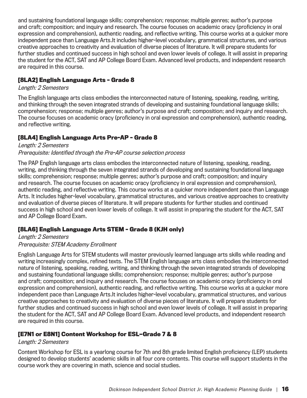and sustaining foundational language skills; comprehension; response; multiple genres; author's purpose and craft; composition; and inquiry and research. The course focuses on academic oracy (proficiency in oral expression and comprehension), authentic reading, and reflective writing. This course works at a quicker more independent pace than Language Arts.It includes higher-level vocabulary, grammatical structures, and various creative approaches to creativity and evaluation of diverse pieces of literature. It will prepare students for further studies and continued success in high school and even lower levels of college. It will assist in preparing the student for the ACT, SAT and AP College Board Exam. Advanced level products, and independent research are required in this course.

#### **[8LA2] English Language Arts – Grade 8**

#### Length: 2 Semesters

The English language arts class embodies the interconnected nature of listening, speaking, reading, writing, and thinking through the seven integrated strands of developing and sustaining foundational language skills; comprehension; response; multiple genres; author's purpose and craft; composition; and inquiry and research. The course focuses on academic oracy (proficiency in oral expression and comprehension), authentic reading, and reflective writing.

#### **[8LA4] English Language Arts Pre-AP – Grade 8**

#### Length: 2 Semesters Prerequisite: Identified through the Pre-AP course selection process

The PAP English language arts class embodies the interconnected nature of listening, speaking, reading, writing, and thinking through the seven integrated strands of developing and sustaining foundational language skills; comprehension; response; multiple genres; author's purpose and craft; composition; and inquiry and research. The course focuses on academic oracy (proficiency in oral expression and comprehension), authentic reading, and reflective writing. This course works at a quicker more independent pace than Language Arts. It includes higher-level vocabulary, grammatical structures, and various creative approaches to creativity and evaluation of diverse pieces of literature. It will prepare students for further studies and continued success in high school and even lower levels of college. It will assist in preparing the student for the ACT, SAT and AP College Board Exam.

#### **[8LA6] English Language Arts STEM – Grade 8 (KJH only)**

#### Length: 2 Semesters Prerequisite: STEM Academy Enrollment

English Language Arts for STEM students will master previously learned language arts skills while reading and writing increasingly complex, refined texts. The STEM English language arts class embodies the interconnected nature of listening, speaking, reading, writing, and thinking through the seven integrated strands of developing and sustaining foundational language skills; comprehension; response; multiple genres; author's purpose and craft; composition; and inquiry and research. The course focuses on academic oracy (proficiency in oral expression and comprehension), authentic reading, and reflective writing. This course works at a quicker more independent pace than Language Arts.It includes higher-level vocabulary, grammatical structures, and various creative approaches to creativity and evaluation of diverse pieces of literature. It will prepare students for further studies and continued success in high school and even lower levels of college. It will assist in preparing the student for the ACT, SAT and AP College Board Exam. Advanced level products, and independent research are required in this course.

#### **[E7N1 or E8N1] Content Workshop for ESL—Grade 7 & 8**

#### Length: 2 Semesters

Content Workshop for ESL is a yearlong course for 7th and 8th grade limited English proficiency (LEP) students designed to develop students' academic skills in all four core contents. This course will support students in the course work they are covering in math, science and social studies.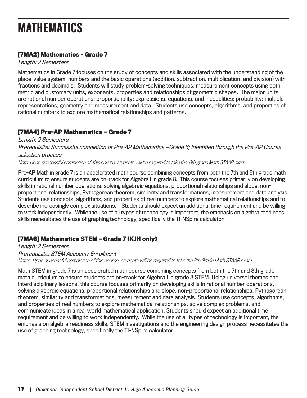#### **[7MA2] Mathematics – Grade 7**

Length: 2 Semesters

Mathematics in Grade 7 focuses on the study of concepts and skills associated with the understanding of the place-value system, numbers and the basic operations (addition, subtraction, multiplication, and division) with fractions and decimals. Students will study problem-solving techniques, measurement concepts using both metric and customary units, exponents, properties and relationships of geometric shapes. The major units are rational number operations; proportionality; expressions, equations, and inequalities; probability; multiple representations; geometry and measurement and data. Students use concepts, algorithms, and properties of rational numbers to explore mathematical relationships and patterns.

#### **[7MA4] Pre-AP Mathematics — Grade 7**

Length: 2 Semesters Prerequisite: Successful completion of Pre-AP Mathematics —Grade 6; Identified through the Pre-AP Course selection process Note: Upon successful completion of this course, students will be required to take the 8th grade Math STAAR exam

Pre-AP Math in grade 7 is an accelerated math course combining concepts from both the 7th and 8th grade math curriculum to ensure students are on-track for Algebra I in grade 8. This course focuses primarily on developing skills in rational number operations, solving algebraic equations, proportional relationships and slope, nonproportional relationships, Pythagorean theorem, similarity and transformations, measurement and data analysis. Students use concepts, algorithms, and properties of real numbers to explore mathematical relationships and to describe increasingly complex situations. Students should expect an additional time requirement and be willing to work independently. While the use of all types of technology is important, the emphasis on algebra readiness skills necessitates the use of graphing technology, specifically the TI-NSpire calculator.

#### **[7MA6] Mathematics STEM – Grade 7 (KJH only)**

Length: 2 Semesters Prerequisite: STEM Academy Enrollment Notes: Upon successful completion of this course, students will be required to take the 8th Grade Math STAAR exam

Math STEM in grade 7 is an accelerated math course combining concepts from both the 7th and 8th grade math curriculum to ensure students are on-track for Algebra I in grade 8 STEM. Using universal themes and interdisciplinary lessons, this course focuses primarily on developing skills in rational number operations, solving algebraic equations, proportional relationships and slope, non-proportional relationships, Pythagorean theorem, similarity and transformations, measurement and data analysis. Students use concepts, algorithms, and properties of real numbers to explore mathematical relationships, solve complex problems, and communicate ideas in a real world mathematical application. Students should expect an additional time requirement and be willing to work independently. While the use of all types of technology is important, the emphasis on algebra readiness skills, STEM investigations and the engineering design process necessitates the use of graphing technology, specifically the TI-NSpire calculator.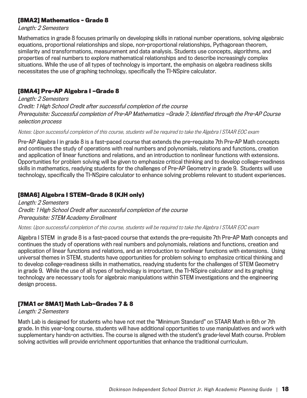#### **[8MA2] Mathematics – Grade 8**

Length: 2 Semesters

Mathematics in grade 8 focuses primarily on developing skills in rational number operations, solving algebraic equations, proportional relationships and slope, non-proportional relationships, Pythagorean theorem, similarity and transformations, measurement and data analysis. Students use concepts, algorithms, and properties of real numbers to explore mathematical relationships and to describe increasingly complex situations. While the use of all types of technology is important, the emphasis on algebra readiness skills necessitates the use of graphing technology, specifically the TI-NSpire calculator.

#### **[8MA4] Pre-AP Algebra I —Grade 8**

Length: 2 Semesters Credit: 1 High School Credit after successful completion of the course Prerequisite: Successful completion of Pre-AP Mathematics —Grade 7; Identified through the Pre-AP Course selection process

Notes: Upon successful completion of this course, students will be required to take the Algebra I STAAR EOC exam

Pre-AP Algebra I in grade 8 is a fast-paced course that extends the pre-requisite 7th Pre-AP Math concepts and continues the study of operations with real numbers and polynomials, relations and functions, creation and application of linear functions and relations, and an introduction to nonlinear functions with extensions. Opportunities for problem solving will be given to emphasize critical thinking and to develop college-readiness skills in mathematics, readying students for the challenges of Pre-AP Geometry in grade 9. Students will use technology, specifically the TI-NSpire calculator to enhance solving problems relevant to student experiences.

#### **[8MA6] Algebra I STEM—Grade 8 (KJH only)**

Length: 2 Semesters Credit: 1 High School Credit after successful completion of the course Prerequisite: STEM Academy Enrollment

Notes: Upon successful completion of this course, students will be required to take the Algebra I STAAR EOC exam

Algebra I STEM in grade 8 is a fast-paced course that extends the pre-requisite 7th Pre-AP Math concepts and continues the study of operations with real numbers and polynomials, relations and functions, creation and application of linear functions and relations, and an introduction to nonlinear functions with extensions. Using universal themes in STEM, students have opportunities for problem solving to emphasize critical thinking and to develop college-readiness skills in mathematics, readying students for the challenges of STEM Geometry in grade 9. While the use of all types of technology is important, the TI-NSpire calculator and its graphing technology are necessary tools for algebraic manipulations within STEM investigations and the engineering design process.

#### **[7MA1 or 8MA1] Math Lab—Grades 7 & 8**

#### Length: 2 Semesters

Math Lab is designed for students who have not met the "Minimum Standard" on STAAR Math in 6th or 7th grade. In this year-long course, students will have additional opportunities to use manipulatives and work with supplementary hands-on activities. The course is aligned with the student's grade-level Math course. Problem solving activities will provide enrichment opportunities that enhance the traditional curriculum.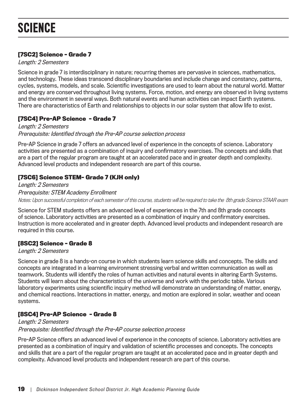#### **[7SC2] Science – Grade 7**

Length: 2 Semesters

Science in grade 7 is interdisciplinary in nature; recurring themes are pervasive in sciences, mathematics, and technology. These ideas transcend disciplinary boundaries and include change and constancy, patterns, cycles, systems, models, and scale. Scientific investigations are used to learn about the natural world. Matter and energy are conserved throughout living systems. Force, motion, and energy are observed in living systems and the environment in several ways. Both natural events and human activities can impact Earth systems. There are characteristics of Earth and relationships to objects in our solar system that allow life to exist.

#### **[7SC4] Pre-AP Science – Grade 7**

Length: 2 Semesters Prerequisite: Identified through the Pre-AP course selection process

Pre-AP Science in grade 7 offers an advanced level of experience in the concepts of science. Laboratory activities are presented as a combination of inquiry and confirmatory exercises. The concepts and skills that are a part of the regular program are taught at an accelerated pace and in greater depth and complexity. Advanced level products and independent research are part of this course.

#### **[7SC6] Science STEM– Grade 7 (KJH only)**

Length: 2 Semesters Prerequisite: STEM Academy Enrollment Notes: Upon successful completion of each semester of this course, students will be required to take the 8th grade Science STAAR exam

Science for STEM students offers an advanced level of experiences in the 7th and 8th grade concepts of science. Laboratory activities are presented as a combination of inquiry and confirmatory exercises. Instruction is more accelerated and in greater depth. Advanced level products and independent research are required in this course.

#### **[8SC2] Science – Grade 8**

Length: 2 Semesters

Science in grade 8 is a hands-on course in which students learn science skills and concepts. The skills and concepts are integrated in a learning environment stressing verbal and written communication as well as teamwork. Students will identify the roles of human activities and natural events in altering Earth Systems. Students will learn about the characteristics of the universe and work with the periodic table. Various laboratory experiments using scientific inquiry method will demonstrate an understanding of matter, energy, and chemical reactions. Interactions in matter, energy, and motion are explored in solar, weather and ocean systems.

#### **[8SC4] Pre-AP Science – Grade 8**

Length: 2 Semesters Prerequisite: Identified through the Pre-AP course selection process

Pre-AP Science offers an advanced level of experience in the concepts of science. Laboratory activities are presented as a combination of inquiry and validation of scientific processes and concepts. The concepts and skills that are a part of the regular program are taught at an accelerated pace and in greater depth and complexity. Advanced level products and independent research are part of this course.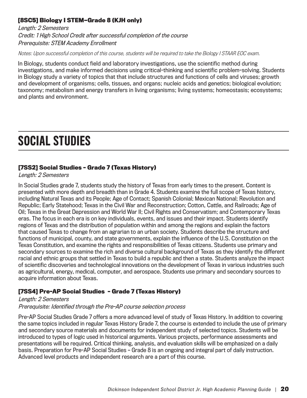#### **[8SC5] Biology I STEM—Grade 8 (KJH only)**

Length: 2 Semesters Credit: 1 High School Credit after successful completion of the course Prerequisite: STEM Academy Enrollment

Notes: Upon successful completion of this course, students will be required to take the Biology I STAAR EOC exam.

In Biology, students conduct field and laboratory investigations, use the scientific method during investigations, and make informed decisions using critical-thinking and scientific problem-solving. Students in Biology study a variety of topics that that include structures and functions of cells and viruses; growth and development of organisms; cells, tissues, and organs; nucleic acids and genetics; biological evolution; taxonomy; metabolism and energy transfers in living organisms; living systems; homeostasis; ecosystems; and plants and environment.

# SOCIAL STUDIES

#### **[7SS2] Social Studies – Grade 7 (Texas History)**

#### Length: 2 Semesters

In Social Studies grade 7, students study the history of Texas from early times to the present. Content is presented with more depth and breadth than in Grade 4. Students examine the full scope of Texas history, including Natural Texas and its People; Age of Contact; Spanish Colonial; Mexican National; Revolution and Republic; Early Statehood; Texas in the Civil War and Reconstruction; Cotton, Cattle, and Railroads; Age of Oil; Texas in the Great Depression and World War II; Civil Rights and Conservatism; and Contemporary Texas eras. The focus in each era is on key individuals, events, and issues and their impact. Students identify regions of Texas and the distribution of population within and among the regions and explain the factors that caused Texas to change from an agrarian to an urban society. Students describe the structure and functions of municipal, county, and state governments, explain the influence of the U.S. Constitution on the Texas Constitution, and examine the rights and responsibilities of Texas citizens. Students use primary and secondary sources to examine the rich and diverse cultural background of Texas as they identify the different racial and ethnic groups that settled in Texas to build a republic and then a state. Students analyze the impact of scientific discoveries and technological innovations on the development of Texas in various industries such as agricultural, energy, medical, computer, and aerospace. Students use primary and secondary sources to acquire information about Texas.

#### **[7SS4] Pre-AP Social Studies – Grade 7 (Texas History)**

#### Length: 2 Semesters

#### Prerequisite: Identified through the Pre-AP course selection process

Pre-AP Social Studies Grade 7 offers a more advanced level of study of Texas History. In addition to covering the same topics included in regular Texas History Grade 7, the course is extended to include the use of primary and secondary source materials and documents for independent study of selected topics. Students will be introduced to types of logic used in historical arguments. Various projects, performance assessments and presentations will be required. Critical thinking, analysis, and evaluation skills will be emphasized on a daily basis. Preparation for Pre-AP Social Studies – Grade 8 is an ongoing and integral part of daily instruction. Advanced level products and independent research are a part of this course.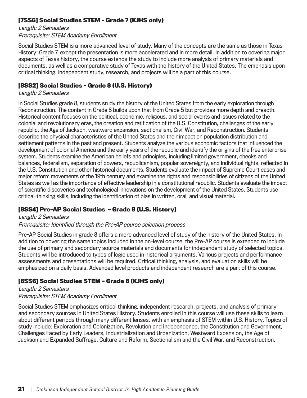#### **[7SS6] Social Studies STEM – Grade 7 (KJHS only)**

Length: 2 Semesters Prerequisite: STEM Academy Enrollment

Social Studies STEM is a more advanced level of study. Many of the concepts are the same as those in Texas History: Grade 7, except the presentation is more accelerated and in more detail. In addition to covering major aspects of Texas history, the course extends the study to include more analysis of primary materials and documents, as well as a comparative study of Texas with the history of the United States. The emphasis upon critical thinking, independent study, research, and projects will be a part of this course.

#### **[8SS2] Social Studies – Grade 8 (U.S. History)**

#### Length: 2 Semesters

In Social Studies grade 8, students study the history of the United States from the early exploration through Reconstruction. The content in Grade 8 builds upon that from Grade 5 but provides more depth and breadth. Historical content focuses on the political, economic, religious, and social events and issues related to the colonial and revolutionary eras, the creation and ratification of the U.S. Constitution, challenges of the early republic, the Age of Jackson, westward expansion, sectionalism, Civil War, and Reconstruction. Students describe the physical characteristics of the United States and their impact on population distribution and settlement patterns in the past and present. Students analyze the various economic factors that influenced the development of colonial America and the early years of the republic and identify the origins of the free enterprise system. Students examine the American beliefs and principles, including limited government, checks and balances, federalism, separation of powers, republicanism, popular sovereignty, and individual rights, reflected in the U.S. Constitution and other historical documents. Students evaluate the impact of Supreme Court cases and major reform movements of the 19th century and examine the rights and responsibilities of citizens of the United States as well as the importance of effective leadership in a constitutional republic. Students evaluate the impact of scientific discoveries and technological innovations on the development of the United States. Students use critical-thinking skills, including the identification of bias in written, oral, and visual material.

#### **[8SS4] Pre-AP Social Studies – Grade 8 (U.S. History)**

#### Length: 2 Semesters Prerequisite: Identified through the Pre-AP course selection process

Pre-AP Social Studies in grade 8 offers a more advanced level of study of the history of the United States. In addition to covering the same topics included in the on-level course, the Pre-AP course is extended to include the use of primary and secondary source materials and documents for independent study of selected topics. Students will be introduced to types of logic used in historical arguments. Various projects and performance assessments and presentations will be required. Critical thinking, analysis, and evaluation skills will be emphasized on a daily basis. Advanced level products and independent research are a part of this course.

#### **[8SS6] Social Studies STEM – Grade 8 (KJHS only)**

#### Length: 2 Semesters Prerequisite: STEM Academy Enrollment

Social Studies STEM emphasizes critical thinking, independent research, projects, and analysis of primary and secondary sources in United States History. Students enrolled in this course will use these skills to learn about different periods through many different lenses, with an emphasis of STEM within U.S. History. Topics of study include: Exploration and Colonization, Revolution and Independence, the Constitution and Government, Challenges Faced by Early Leaders, Industrialization and Urbanization, Westward Expansion, the Age of Jackson and Expanded Suffrage, Culture and Reform, Sectionalism and the Civil War, and Reconstruction.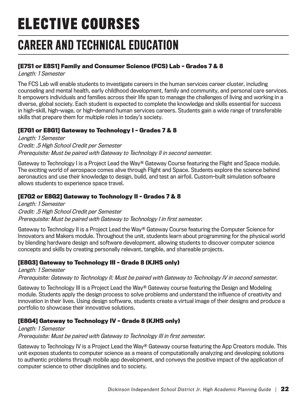# **ELECTIVE COURSES**

# CAREER AND TECHNICAL EDUCATION

#### **[E7S1 or E8S1] Family and Consumer Science (FCS) Lab – Grades 7 & 8**

Length: 1 Semester

The FCS Lab will enable students to investigate careers in the human services career cluster, including counseling and mental health, early childhood development, family and community, and personal care services. It empowers individuals and families across their life span to manage the challenges of living and working in a diverse, global society. Each student is expected to complete the knowledge and skills essential for success in high-skill, high-wage, or high-demand human services careers. Students gain a wide range of transferable skills that prepare them for multiple roles in today's society.

#### **[E7G1 or E8G1] Gateway to Technology I – Grades 7 & 8**

Length: 1 Semester Credit: .5 High School Credit per Semester Prerequisite: Must be paired with Gateway to Technology II in second semester.

Gateway to Technology I is a Project Lead the Way® Gateway Course featuring the Flight and Space module. The exciting world of aerospace comes alive through Flight and Space. Students explore the science behind aeronautics and use their knowledge to design, build, and test an airfoil. Custom-built simulation software allows students to experience space travel.

#### **[E7G2 or E8G2] Gateway to Technology II – Grades 7 & 8**

Length: 1 Semester Credit: .5 High School Credit per Semester Prerequisite: Must be paired with Gateway to Technology I in first semester.

Gateway to Technology II is a Project Lead the Way® Gateway Course featuring the Computer Science for Innovators and Makers module. Throughout the unit, students learn about programming for the physical world by blending hardware design and software development, allowing students to discover computer science concepts and skills by creating personally relevant, tangible, and shareable projects.

#### **[E8G3] Gateway to Technology III – Grade 8 (KJHS only)**

Length: 1 Semester

Prerequisite: Gateway to Technology II; Must be paired with Gateway to Technology IV in second semester.

Gateway to Technology III is a Project Lead the Way® Gateway course featuring the Design and Modeling module. Students apply the design process to solve problems and understand the influence of creativity and innovation in their lives. Using design software, students create a virtual image of their designs and produce a portfolio to showcase their innovative solutions.

#### **[E8G4] Gateway to Technology IV – Grade 8 (KJHS only)**

#### Length: 1 Semester

Prerequisite: Must be paired with Gateway to Technology III in first semester.

Gateway to Technology IV is a Project Lead the Way® Gateway course featuring the App Creators module. This unit exposes students to computer science as a means of computationally analyzing and developing solutions to authentic problems through mobile app development, and conveys the positive impact of the application of computer science to other disciplines and to society.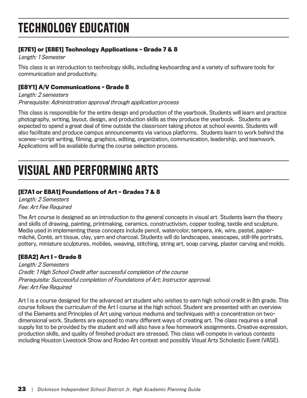# TECHNOLOGY EDUCATION

#### **[E7E1] or [E8E1] Technology Applications – Grade 7 & 8**

Length: 1 Semester

This class is an introduction to technology skills, including keyboarding and a variety of software tools for communication and productivity.

#### **[E8Y1] A/V Communications - Grade 8**

Length: 2 semesters Prerequisite: Administration approval through application process

This class is responsible for the entire design and production of the yearbook. Students will learn and practice photography, writing, layout, design, and production skills as they produce the yearbook. Students are expected to spend a great deal of time outside the classroom taking photos at school events. Students will also facilitate and produce campus announcements via various platforms. Students learn to work behind the scenes--script writing, filming, graphics, editing, organization, communication, leadership, and teamwork. Applications will be available during the course selection process.

# VISUAL AND PERFORMING ARTS

#### **[E7A1 or E8A1] Foundations of Art – Grades 7 & 8**

Length: 2 Semesters Fee: Art Fee Required

The Art course is designed as an introduction to the general concepts in visual art. Students learn the theory and skills of drawing, painting, printmaking, ceramics, constructivism, copper tooling, textile and sculpture. Media used in implementing these concepts include pencil, watercolor, tempera, ink, wire, pastel, papiermâché, Conté, art tissue, clay, yarn and charcoal. Students will do landscapes, seascapes, still-life portraits, pottery, miniature sculptures, mobiles, weaving, stitching, string art, soap carving, plaster carving and molds.

#### **[E8A2] Art I – Grade 8**

Length: 2 Semesters Credit: 1 High School Credit after successful completion of the course Prerequisite: Successful completion of Foundations of Art; Instructor approval. Fee: Art Fee Required

Art I is a course designed for the advanced art student who wishes to earn high school credit in 8th grade. This course follows the curriculum of the Art I course at the high school. Student are presented with an overview of the Elements and Principles of Art using various mediums and techniques with a concentration on twodimensional work. Students are exposed to many different ways of creating art. The class requires a small supply list to be provided by the student and will also have a few homework assignments. Creative expression, production skills, and quality of finished product are stressed. This class will compete in various contests including Houston Livestock Show and Rodeo Art contest and possibly Visual Arts Scholastic Event (VASE).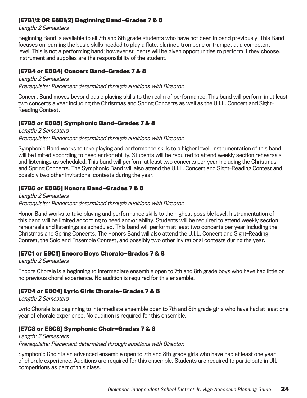#### **[E7B1/2 OR E8B1/2] Beginning Band—Grades 7 & 8**

Length: 2 Semesters

Beginning Band is available to all 7th and 8th grade students who have not been in band previously. This Band focuses on learning the basic skills needed to play a flute, clarinet, trombone or trumpet at a competent level. This is not a performing band; however students will be given opportunities to perform if they choose. Instrument and supplies are the responsibility of the student.

#### **[E7B4 or E8B4] Concert Band—Grades 7 & 8**

Length: 2 Semesters Prerequisite: Placement determined through auditions with Director.

Concert Band moves beyond basic playing skills to the realm of performance. This band will perform in at least two concerts a year including the Christmas and Spring Concerts as well as the U.I.L. Concert and Sight-Reading Contest.

#### **[E7B5 or E8B5] Symphonic Band—Grades 7 & 8**

Length: 2 Semesters Prerequisite: Placement determined through auditions with Director.

Symphonic Band works to take playing and performance skills to a higher level. Instrumentation of this band will be limited according to need and/or ability. Students will be required to attend weekly section rehearsals and listenings as scheduled. This band will perform at least two concerts per year including the Christmas and Spring Concerts. The Symphonic Band will also attend the U.I.L. Concert and Sight-Reading Contest and possibly two other invitational contests during the year.

#### **[E7B6 or E8B6] Honors Band—Grades 7 & 8**

Length: 2 Semesters Prerequisite: Placement determined through auditions with Director.

Honor Band works to take playing and performance skills to the highest possible level. Instrumentation of this band will be limited according to need and/or ability. Students will be required to attend weekly section rehearsals and listenings as scheduled. This band will perform at least two concerts per year including the Christmas and Spring Concerts. The Honors Band will also attend the U.I.L. Concert and Sight-Reading Contest, the Solo and Ensemble Contest, and possibly two other invitational contests during the year.

#### **[E7C1 or E8C1] Encore Boys Chorale—Grades 7 & 8**

Length: 2 Semesters

Encore Chorale is a beginning to intermediate ensemble open to 7th and 8th grade boys who have had little or no previous choral experience. No audition is required for this ensemble.

#### **[E7C4 or E8C4] Lyric Girls Chorale—Grades 7 & 8**

Length: 2 Semesters

Lyric Chorale is a beginning to intermediate ensemble open to 7th and 8th grade girls who have had at least one year of chorale experience. No audition is required for this ensemble.

#### **[E7C8 or E8C8] Symphonic Choir—Grades 7 & 8**

Length: 2 Semesters Prerequisite: Placement determined through auditions with Director.

Symphonic Choir is an advanced ensemble open to 7th and 8th grade girls who have had at least one year of chorale experience. Auditions are required for this ensemble. Students are required to participate in UIL competitions as part of this class.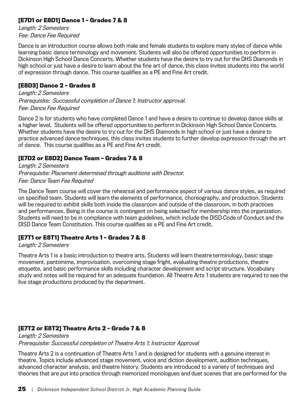#### **[E7D1 or E8D1] Dance 1 – Grades 7 & 8**

Length: 2 Semesters Fee: Dance Fee Required

Dance is an introduction course allows both male and female students to explore many styles of dance while learning basic dance terminology and movement. Students will also be offered opportunities to perform in Dickinson High School Dance Concerts. Whether students have the desire to try out for the DHS Diamonds in high school or just have a desire to learn about the fine art of dance, this class invites students into the world of expression through dance. This course qualifies as a PE and Fine Art credit.

#### **[E8D3] Dance 2 – Grades 8**

Length: 2 Semesters Prerequisite: Successful completion of Dance 1; Instructor approval. Fee: Dance Fee Required

Dance 2 is for students who have completed Dance 1 and have a desire to continue to develop dance skills at a higher level. Students will be offered opportunities to perform in Dickinson High School Dance Concerts. Whether students have the desire to try out for the DHS Diamonds in high school or just have a desire to practice advanced dance techniques, this class invites students to further develop expression through the art of dance. This course qualifies as a PE and Fine Art credit.

#### **[E7D2 or E8D2] Dance Team – Grades 7 & 8**

Length: 2 Semesters Prerequisite: Placement determined through auditions with Director. Fee: Dance Team Fee Required

The Dance Team course will cover the rehearsal and performance aspect of various dance styles, as required on specified team. Students will learn the elements of performance, choreography, and production. Students will be required to exhibit skills both inside the classroom and outside of the classroom, in both practices and performances. Being in the course is contingent on being selected for membership into the organization. Students will need to be in compliance with team guidelines, which include the DISD Code of Conduct and the DISD Dance Team Constitution. This course qualifies as a PE and Fine Art credit.

#### **[E7T1 or E8T1] Theatre Arts 1 – Grades 7 & 8**

#### Length: 2 Semesters

Theatre Arts 1 is a basic introduction to theatre arts. Students will learn theatre terminology, basic stage movement, pantomime, improvisation, overcoming stage fright, evaluating theatre productions, theatre etiquette, and basic performance skills including character development and script structure. Vocabulary study and notes will be required for an adequate foundation. All Theatre Arts 1 students are required to see the live stage productions produced by the department.

#### **[E7T2 or E8T2] Theatre Arts 2 – Grade 7 & 8**

Length: 2 Semesters Prerequisite: Successful completion of Theatre Arts 1; Instructor Approval

Theatre Arts 2 is a continuation of Theatre Arts 1 and is designed for students with a genuine interest in theatre. Topics include advanced stage movement, voice and diction development, audition techniques, advanced character analysis, and theatre history. Students are introduced to a variety of techniques and theories that are put into practice through memorized monologues and duet scenes that are performed for the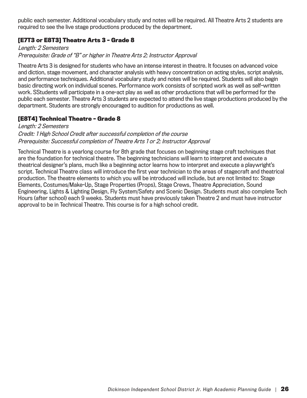public each semester. Additional vocabulary study and notes will be required. All Theatre Arts 2 students are required to see the live stage productions produced by the department.

#### **[E7T3 or E8T3] Theatre Arts 3 – Grade 8**

#### Length: 2 Semesters Prerequisite: Grade of "B" or higher in Theatre Arts 2; Instructor Approval

Theatre Arts 3 is designed for students who have an intense interest in theatre. It focuses on advanced voice and diction, stage movement, and character analysis with heavy concentration on acting styles, script analysis, and performance techniques. Additional vocabulary study and notes will be required. Students will also begin basic directing work on individual scenes. Performance work consists of scripted work as well as self-written work. SStudents will participate in a one-act play as well as other productions that will be performed for the public each semester. Theatre Arts 3 students are expected to attend the live stage productions produced by the department. Students are strongly encouraged to audition for productions as well.

#### **[E8T4] Technical Theatre – Grade 8**

#### Length: 2 Semesters Credit: 1 High School Credit after successful completion of the course Prerequisite: Successful completion of Theatre Arts 1 or 2; Instructor Approval

Technical Theatre is a yearlong course for 8th grade that focuses on beginning stage craft techniques that are the foundation for technical theatre. The beginning technicians will learn to interpret and execute a theatrical designer's plans, much like a beginning actor learns how to interpret and execute a playwright's script. Technical Theatre class will introduce the first year technician to the areas of stagecraft and theatrical production. The theatre elements to which you will be introduced will include, but are not limited to: Stage Elements, Costumes/Make-Up, Stage Properties (Props), Stage Crews, Theatre Appreciation, Sound Engineering, Lights & Lighting Design, Fly System/Safety and Scenic Design. Students must also complete Tech Hours (after school) each 9 weeks. Students must have previously taken Theatre 2 and must have instructor approval to be in Technical Theatre. This course is for a high school credit.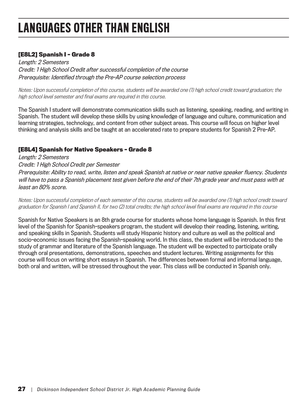# LANGUAGES OTHER THAN ENGLISH

#### **[E8L2] Spanish I – Grade 8**

Length: 2 Semesters Credit: 1 High School Credit after successful completion of the course Prerequisite: Identified through the Pre-AP course selection process

Notes: Upon successful completion of this course, students will be awarded one (1) high school credit toward graduation; the high school level semester and final exams are required in this course.

The Spanish I student will demonstrate communication skills such as listening, speaking, reading, and writing in Spanish. The student will develop these skills by using knowledge of language and culture, communication and learning strategies, technology, and content from other subject areas. This course will focus on higher level thinking and analysis skills and be taught at an accelerated rate to prepare students for Spanish 2 Pre-AP.

#### **[E8L4] Spanish for Native Speakers – Grade 8**

Length: 2 Semesters Credit: 1 High School Credit per Semester Prerequisite: Ability to read, write, listen and speak Spanish at native or near native speaker fluency. Students will have to pass a Spanish placement test given before the end of their 7th grade year and must pass with at least an 80% score.

Notes: Upon successful completion of each semester of this course, students will be awarded one (1) high school credit toward graduation for Spanish I and Spanish II, for two (2) total credits; the high school level final exams are required in this course

Spanish for Native Speakers is an 8th grade course for students whose home language is Spanish. In this first level of the Spanish for Spanish-speakers program, the student will develop their reading, listening, writing, and speaking skills in Spanish. Students will study Hispanic history and culture as well as the political and socio-economic issues facing the Spanish-speaking world. In this class, the student will be introduced to the study of grammar and literature of the Spanish language. The student will be expected to participate orally through oral presentations, demonstrations, speeches and student lectures. Writing assignments for this course will focus on writing short essays in Spanish. The differences between formal and informal language, both oral and written, will be stressed throughout the year. This class will be conducted in Spanish only.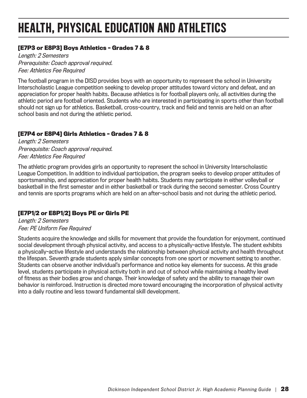# HEALTH, PHYSICAL EDUCATION AND ATHLETICS

#### **[E7P3 or E8P3] Boys Athletics – Grades 7 & 8**

Length: 2 Semesters Prerequisite: Coach approval required. Fee: Athletics Fee Required

The football program in the DISD provides boys with an opportunity to represent the school in University Interscholastic League competition seeking to develop proper attitudes toward victory and defeat, and an appreciation for proper health habits. Because athletics is for football players only, all activities during the athletic period are football oriented. Students who are interested in participating in sports other than football should not sign up for athletics. Basketball, cross-country, track and field and tennis are held on an after school basis and not during the athletic period.

#### **[E7P4 or E8P4] Girls Athletics – Grades 7 & 8**

Length: 2 Semesters Prerequisite: Coach approval required. Fee: Athletics Fee Required

The athletic program provides girls an opportunity to represent the school in University Interscholastic League Competition. In addition to individual participation, the program seeks to develop proper attitudes of sportsmanship, and appreciation for proper health habits. Students may participate in either volleyball or basketball in the first semester and in either basketball or track during the second semester. Cross Country and tennis are sports programs which are held on an after-school basis and not during the athletic period.

#### **[E7P1/2 or E8P1/2] Boys PE or Girls PE**

Length: 2 Semesters Fee: PE Uniform Fee Required

Students acquire the knowledge and skills for movement that provide the foundation for enjoyment, continued social development through physical activity, and access to a physically-active lifestyle. The student exhibits a physically-active lifestyle and understands the relationship between physical activity and health throughout the lifespan. Seventh grade students apply similar concepts from one sport or movement setting to another. Students can observe another individual's performance and notice key elements for success. At this grade level, students participate in physical activity both in and out of school while maintaining a healthy level of fitness as their bodies grow and change. Their knowledge of safety and the ability to manage their own behavior is reinforced. Instruction is directed more toward encouraging the incorporation of physical activity into a daily routine and less toward fundamental skill development.